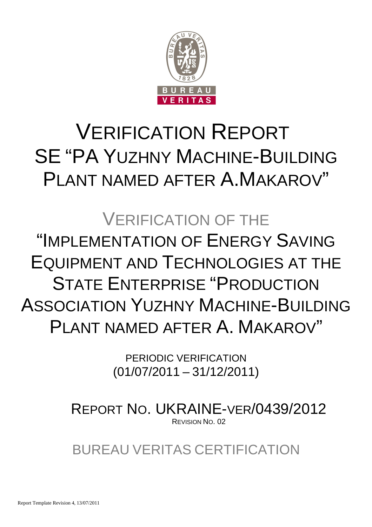

# VERIFICATION REPORT SE "PA YUZHNY MACHINE-BUILDING PLANT NAMED AFTER A.MAKAROV"

# VERIFICATION OF THE "IMPLEMENTATION OF ENERGY SAVING EQUIPMENT AND TECHNOLOGIES AT THE STATE ENTERPRISE "PRODUCTION ASSOCIATION YUZHNY MACHINE-BUILDING PLANT NAMED AFTER A. MAKAROV"

PERIODIC VERIFICATION (01/07/2011 – 31/12/2011)

REPORT NO. UKRAINE-VER/0439/2012 REVISION NO. 02

BUREAU VERITAS CERTIFICATION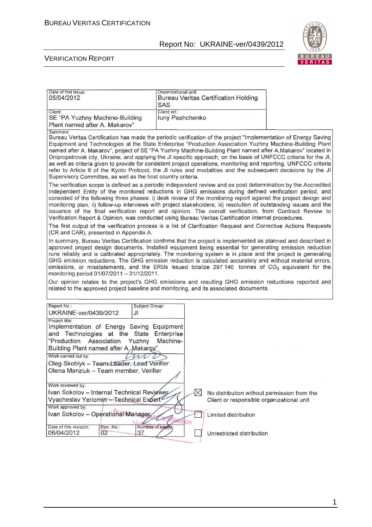

#### VERIFICATION REPORT

| Date of first issue:<br>05/04/2012                                                                                                   | Organizational unit:<br><b>Bureau Veritas Certification Holding</b><br>SAS                                                                                                                                                                                                                                                                                                                                                                                                                                                                                                                                                                                                                                                                                                    |  |
|--------------------------------------------------------------------------------------------------------------------------------------|-------------------------------------------------------------------------------------------------------------------------------------------------------------------------------------------------------------------------------------------------------------------------------------------------------------------------------------------------------------------------------------------------------------------------------------------------------------------------------------------------------------------------------------------------------------------------------------------------------------------------------------------------------------------------------------------------------------------------------------------------------------------------------|--|
| Client:<br>SE "PA Yuzhny Machine-Building<br>Plant named after A. Makarov"                                                           | Client ref.:<br>luriy Pashchenko                                                                                                                                                                                                                                                                                                                                                                                                                                                                                                                                                                                                                                                                                                                                              |  |
| Summary:<br>Supervisory Committee, as well as the host country criteria.                                                             | Bureau Veritas Certification has made the periodic verification of the project "Implementation of Energy Saving<br>Equipment and Technologies at the State Enterprise "Production Association Yuzhny Machine-Building Plant<br>named after A. Makarov", project of SE "PA Yuzhny Machine-Building Plant named after A.Makarov" located in<br>Dnipropetrovsk city, Ukraine, and applying the JI specific approach, on the basis of UNFCCC criteria for the JI,<br>as well as criteria given to provide for consistent project operations, monitoring and reporting. UNFCCC criteria<br>refer to Article 6 of the Kyoto Protocol, the JI rules and modalities and the subsequent decisions by the JI                                                                            |  |
|                                                                                                                                      | The verification scope is defined as a periodic independent review and ex post determination by the Accredited<br>Independent Entity of the monitored reductions in GHG emissions during defined verification period, and<br>consisted of the following three phases: i) desk review of the monitoring report against the project design and<br>monitoring plan; ii) follow-up interviews with project stakeholders; iii) resolution of outstanding issues and the<br>issuance of the final verification report and opinion. The overall verification, from Contract Review to<br>Verification Report & Opinion, was conducted using Bureau Veritas Certification internal procedures.                                                                                        |  |
| (CR and CAR), presented in Appendix A.                                                                                               | The first output of the verification process is a list of Clarification Request and Corrective Actions Requests                                                                                                                                                                                                                                                                                                                                                                                                                                                                                                                                                                                                                                                               |  |
| monitoring period 01/07/2011 - 31/12/2011.                                                                                           | In summary, Bureau Veritas Certification confirms that the project is implemented as planned and described in<br>approved project design documents. Installed equipment being essential for generating emission reduction<br>runs reliably and is calibrated appropriately. The monitoring system is in place and the project is generating<br>GHG emission reductions. The GHG emission reduction is calculated accurately and without material errors,<br>omissions, or misstatements, and the ERUs issued totalize 297 140 tonnes of CO <sub>2</sub> equivalent for the<br>Our opinion relates to the project's GHG emissions and resulting GHG emission reductions reported and<br>related to the approved project baseline and monitoring, and its associated documents. |  |
|                                                                                                                                      |                                                                                                                                                                                                                                                                                                                                                                                                                                                                                                                                                                                                                                                                                                                                                                               |  |
| Report No.:<br>Subject Group:<br>UKRAINE-ver/0439/2012<br>JI                                                                         |                                                                                                                                                                                                                                                                                                                                                                                                                                                                                                                                                                                                                                                                                                                                                                               |  |
| Project title:<br>Implementation of Energy Saving Equipment<br>and Technologies at the State<br>"Production<br>Association<br>Yuzhny | Enterprise<br>Machine-                                                                                                                                                                                                                                                                                                                                                                                                                                                                                                                                                                                                                                                                                                                                                        |  |
| Building Plant named after A. Makarov"<br>Work carried out by:<br>Oleg Skoblyk - Team Leader, Lead Verifier                          |                                                                                                                                                                                                                                                                                                                                                                                                                                                                                                                                                                                                                                                                                                                                                                               |  |
| Olena Manziuk - Team member, Verifier<br>Work reviewed by:                                                                           |                                                                                                                                                                                                                                                                                                                                                                                                                                                                                                                                                                                                                                                                                                                                                                               |  |
| Ivan Sokolov - Internal Technical Reviewer<br>Vyacheslav Yeriomin - Technical Expert <sup>2</sup><br>Work approved by:               | $\bowtie$<br>No distribution without permission from the<br>Client or responsible organizational unit                                                                                                                                                                                                                                                                                                                                                                                                                                                                                                                                                                                                                                                                         |  |
| Ivan Sokolov - Operational Manager<br>Date of this revision:<br>Rev. No.:<br>Number of pages                                         | Limited distribution<br>ation                                                                                                                                                                                                                                                                                                                                                                                                                                                                                                                                                                                                                                                                                                                                                 |  |
| 06/04/2012<br>02<br>37                                                                                                               | Unrestricted distribution                                                                                                                                                                                                                                                                                                                                                                                                                                                                                                                                                                                                                                                                                                                                                     |  |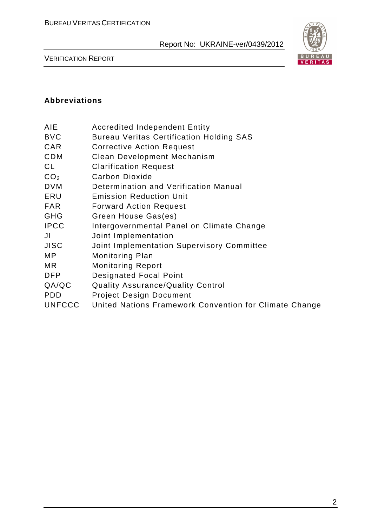

VERIFICATION REPORT

#### **Abbreviations**

| AIE | <b>Accredited Independent Entity</b> |  |
|-----|--------------------------------------|--|
|     |                                      |  |

- BVC Bureau Veritas Certification Holding SAS
- CAR Corrective Action Request
- CDM Clean Development Mechanism
- CL Clarification Request
- CO<sub>2</sub> Carbon Dioxide
- DVM Determination and Verification Manual
- ERU Emission Reduction Unit
- FAR Forward Action Request
- GHG Green House Gas(es)
- IPCC Intergovernmental Panel on Climate Change
- JI Joint Implementation
- JISC Joint Implementation Supervisory Committee
- MP Monitoring Plan
- MR Monitoring Report
- DFP Designated Focal Point
- QA/QC Quality Assurance/Quality Control
- PDD Project Design Document
- UNFCCC United Nations Framework Convention for Climate Change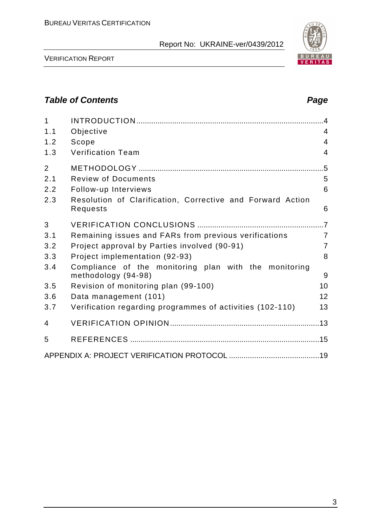

BUREAU<br><mark>VERITAS</mark>

VERIFICATION REPORT

# **Table of Contents Page 2014**

| 1              |                                                                              | $\overline{4}$ |
|----------------|------------------------------------------------------------------------------|----------------|
| 1.1            | Objective                                                                    | 4              |
| 1.2            | Scope                                                                        | $\overline{4}$ |
| 1.3            | <b>Verification Team</b>                                                     | $\overline{4}$ |
| $\overline{2}$ |                                                                              | $.5\,$         |
| 2.1            | <b>Review of Documents</b>                                                   | 5              |
| 2.2            | Follow-up Interviews                                                         | 6              |
| 2.3            | Resolution of Clarification, Corrective and Forward Action<br>Requests       | 6              |
| 3              |                                                                              |                |
| 3.1            | Remaining issues and FARs from previous verifications                        | $\overline{7}$ |
| 3.2            | Project approval by Parties involved (90-91)                                 | $\overline{7}$ |
| 3.3            | Project implementation (92-93)                                               | 8              |
| 3.4            | Compliance of the monitoring plan with the monitoring<br>methodology (94-98) | 9              |
| 3.5            | Revision of monitoring plan (99-100)                                         | 10             |
| 3.6            | Data management (101)                                                        | 12             |
| 3.7            | Verification regarding programmes of activities (102-110)                    | 13             |
| 4              |                                                                              |                |
| 5              |                                                                              |                |
|                |                                                                              |                |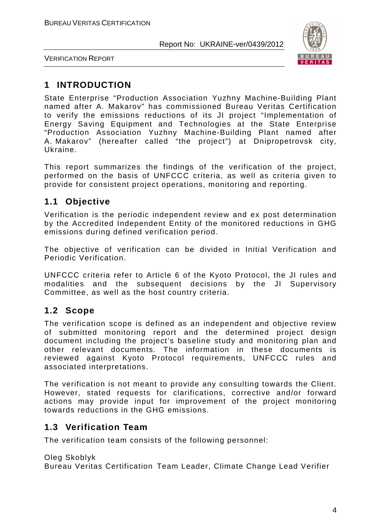

VERIFICATION REPORT

# **1 INTRODUCTION**

State Enterprise "Production Association Yuzhny Machine-Building Plant named after A. Makarov" has commissioned Bureau Veritas Certification to verify the emissions reductions of its JI project "Implementation of Energy Saving Equipment and Technologies at the State Enterprise "Production Association Yuzhny Machine-Building Plant named after A. Makarov" (hereafter called "the project") at Dnipropetrovsk city, Ukraine.

This report summarizes the findings of the verification of the project, performed on the basis of UNFCCC criteria, as well as criteria given to provide for consistent project operations, monitoring and reporting.

# **1.1 Objective**

Verification is the periodic independent review and ex post determination by the Accredited Independent Entity of the monitored reductions in GHG emissions during defined verification period.

The objective of verification can be divided in Initial Verification and Periodic Verification.

UNFCCC criteria refer to Article 6 of the Kyoto Protocol, the JI rules and modalities and the subsequent decisions by the JI Supervisory Committee, as well as the host country criteria.

# **1.2 Scope**

The verification scope is defined as an independent and objective review of submitted monitoring report and the determined project design document including the project's baseline study and monitoring plan and other relevant documents. The information in these documents is reviewed against Kyoto Protocol requirements, UNFCCC rules and associated interpretations.

The verification is not meant to provide any consulting towards the Client. However, stated requests for clarifications, corrective and/or forward actions may provide input for improvement of the project monitoring towards reductions in the GHG emissions.

# **1.3 Verification Team**

The verification team consists of the following personnel:

Oleg Skoblyk

Bureau Veritas Certification Team Leader, Climate Change Lead Verifier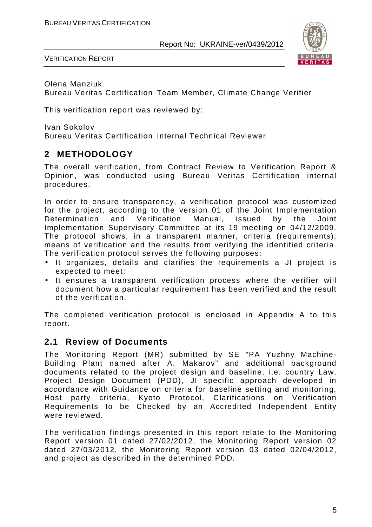

VERIFICATION REPORT

Olena Manziuk Bureau Veritas Certification Team Member, Climate Change Verifier

This verification report was reviewed by:

Ivan Sokolov Bureau Veritas Certification Internal Technical Reviewer

# **2 METHODOLOGY**

The overall verification, from Contract Review to Verification Report & Opinion, was conducted using Bureau Veritas Certification internal procedures.

In order to ensure transparency, a verification protocol was customized for the project, according to the version 01 of the Joint Implementation Determination and Verification Manual, issued by the Joint Implementation Supervisory Committee at its 19 meeting on 04/12/2009. The protocol shows, in a transparent manner, criteria (requirements), means of verification and the results from verifying the identified criteria. The verification protocol serves the following purposes:

- It organizes, details and clarifies the requirements a JI project is expected to meet;
- It ensures a transparent verification process where the verifier will document how a particular requirement has been verified and the result of the verification.

The completed verification protocol is enclosed in Appendix A to this report.

## **2.1 Review of Documents**

The Monitoring Report (MR) submitted by SE "PA Yuzhny Machine-Building Plant named after A. Makarov" and additional background documents related to the project design and baseline, i.e. country Law, Project Design Document (PDD), JI specific approach developed in accordance with Guidance on criteria for baseline setting and monitoring, Host party criteria, Kyoto Protocol, Clarifications on Verification Requirements to be Checked by an Accredited Independent Entity were reviewed.

The verification findings presented in this report relate to the Monitoring Report version 01 dated 27/02/2012, the Monitoring Report version 02 dated 27/03/2012, the Monitoring Report version 03 dated 02/04/2012, and project as described in the determined PDD.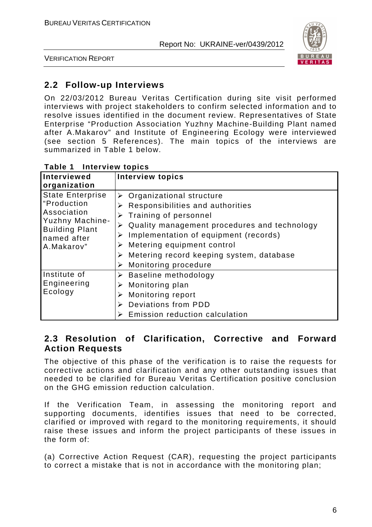

VERIFICATION REPORT

# **2.2 Follow-up Interviews**

On 22/03/2012 Bureau Veritas Certification during site visit performed interviews with project stakeholders to confirm selected information and to resolve issues identified in the document review. Representatives of State Enterprise "Production Association Yuzhny Machine-Building Plant named after A.Makarov" and Institute of Engineering Ecology were interviewed (see section 5 References). The main topics of the interviews are summarized in Table 1 below.

| Interviewed<br>organization                                                                                                    | <b>Interview topics</b>                                                                                                                                                                                                                                                                                                                          |
|--------------------------------------------------------------------------------------------------------------------------------|--------------------------------------------------------------------------------------------------------------------------------------------------------------------------------------------------------------------------------------------------------------------------------------------------------------------------------------------------|
| <b>State Enterprise</b><br>"Production<br>Association<br>Yuzhny Machine-<br><b>Building Plant</b><br>named after<br>A.Makarov" | $\triangleright$ Organizational structure<br>Responsibilities and authorities<br>➤<br>$\triangleright$ Training of personnel<br>Quality management procedures and technology<br>➤<br>Implementation of equipment (records)<br>➤<br>Metering equipment control<br>➤<br>Metering record keeping system, database<br>➤<br>Monitoring procedure<br>➤ |
| Institute of<br>Engineering<br>Ecology                                                                                         | $\triangleright$ Baseline methodology<br>Monitoring plan<br>➤<br>Monitoring report<br>➤<br>Deviations from PDD<br>➤<br>Emission reduction calculation                                                                                                                                                                                            |

#### **Table 1 Interview topics**

## **2.3 Resolution of Clarification, Corrective and Forward Action Requests**

The objective of this phase of the verification is to raise the requests for corrective actions and clarification and any other outstanding issues that needed to be clarified for Bureau Veritas Certification positive conclusion on the GHG emission reduction calculation.

If the Verification Team, in assessing the monitoring report and supporting documents, identifies issues that need to be corrected, clarified or improved with regard to the monitoring requirements, it should raise these issues and inform the project participants of these issues in the form of:

(a) Corrective Action Request (CAR), requesting the project participants to correct a mistake that is not in accordance with the monitoring plan;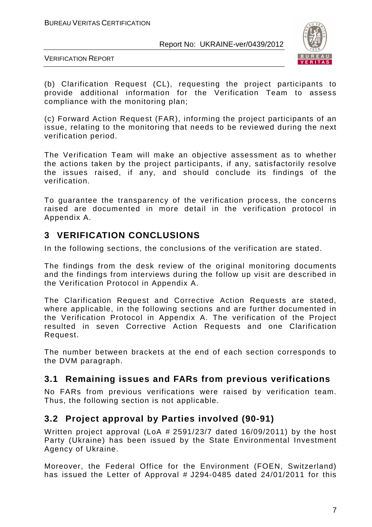

VERIFICATION REPORT

(b) Clarification Request (CL), requesting the project participants to provide additional information for the Verification Team to assess compliance with the monitoring plan;

(c) Forward Action Request (FAR), informing the project participants of an issue, relating to the monitoring that needs to be reviewed during the next verification period.

The Verification Team will make an objective assessment as to whether the actions taken by the project participants, if any, satisfactorily resolve the issues raised, if any, and should conclude its findings of the verification.

To guarantee the transparency of the verification process, the concerns raised are documented in more detail in the verification protocol in Appendix A.

# **3 VERIFICATION CONCLUSIONS**

In the following sections, the conclusions of the verification are stated.

The findings from the desk review of the original monitoring documents and the findings from interviews during the follow up visit are described in the Verification Protocol in Appendix A.

The Clarification Request and Corrective Action Requests are stated, where applicable, in the following sections and are further documented in the Verification Protocol in Appendix A. The verification of the Project resulted in seven Corrective Action Requests and one Clarification Request.

The number between brackets at the end of each section corresponds to the DVM paragraph.

# **3.1 Remaining issues and FARs from previous verifications**

No FARs from previous verifications were raised by verification team. Thus, the following section is not applicable.

# **3.2 Project approval by Parties involved (90-91)**

Written project approval (LoA # 2591/23/7 dated 16/09/2011) by the host Party (Ukraine) has been issued by the State Environmental Investment Agency of Ukraine.

Moreover, the Federal Office for the Environment (FOEN, Switzerland) has issued the Letter of Approval # J294-0485 dated 24/01/2011 for this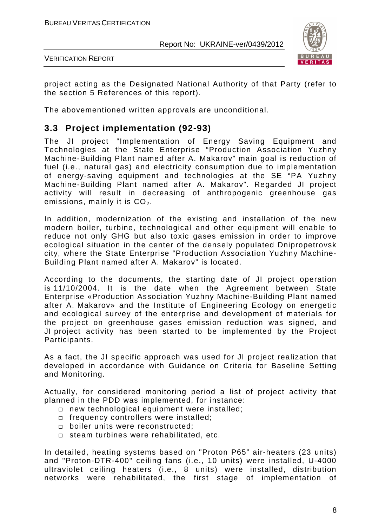

VERIFICATION REPORT

project acting as the Designated National Authority of that Party (refer to the section 5 References of this report).

The abovementioned written approvals are unconditional.

## **3.3 Project implementation (92-93)**

The JI project "Implementation of Energy Saving Equipment and Technologies at the State Enterprise "Production Association Yuzhny Machine-Building Plant named after A. Makarov" main goal is reduction of fuel (i.e., natural gas) and electricity consumption due to implementation of energy-saving equipment and technologies at the SE "PA Yuzhny Machine-Building Plant named after A. Makarov". Regarded JI project activity will result in decreasing of anthropogenic greenhouse gas emissions, mainly it is  $CO<sub>2</sub>$ .

In addition, modernization of the existing and installation of the new modern boiler, turbine, technological and other equipment will enable to reduce not only GHG but also toxic gases emission in order to improve ecological situation in the center of the densely populated Dnipropetrovsk city, where the State Enterprise "Production Association Yuzhny Machine-Building Plant named after A. Makarov" is located.

According to the documents, the starting date of JI project operation is 11/10/2004. It is the date when the Agreement between State Enterprise «Production Association Yuzhny Machine-Building Plant named after A. Makarov» and the Institute of Engineering Ecology on energetic and ecological survey of the enterprise and development of materials for the project on greenhouse gases emission reduction was signed, and JI project activity has been started to be implemented by the Project Participants.

As a fact, the JI specific approach was used for JI project realization that developed in accordance with Guidance on Criteria for Baseline Setting and Monitoring.

Actually, for considered monitoring period a list of project activity that planned in the PDD was implemented, for instance:

- new technological equipment were installed;
- frequency controllers were installed;
- $\square$  boiler units were reconstructed;
- $\square$  steam turbines were rehabilitated, etc.

In detailed, heating systems based on "Proton P65" air-heaters (23 units) and "Proton-DTR-400" ceiling fans (i.e., 10 units) were installed, U-4000 ultraviolet ceiling heaters (i.e., 8 units) were installed, distribution networks were rehabilitated, the first stage of implementation of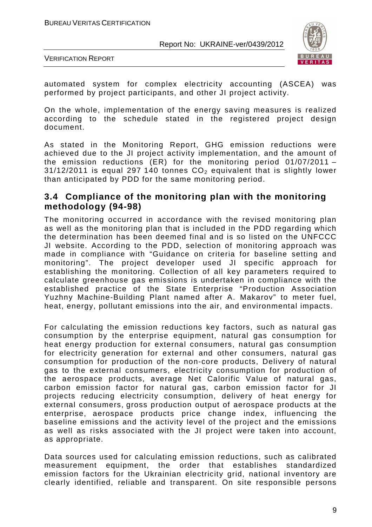

VERIFICATION REPORT

automated system for complex electricity accounting (ASCEA) was performed by project participants, and other JI project activity.

On the whole, implementation of the energy saving measures is realized according to the schedule stated in the registered project design document.

As stated in the Monitoring Report, GHG emission reductions were achieved due to the JI project activity implementation, and the amount of the emission reductions (ER) for the monitoring period 01/07/2011 –  $31/12/2011$  is equal 297 140 tonnes  $CO<sub>2</sub>$  equivalent that is slightly lower than anticipated by PDD for the same monitoring period.

## **3.4 Compliance of the monitoring plan with the monitoring methodology (94-98)**

The monitoring occurred in accordance with the revised monitoring plan as well as the monitoring plan that is included in the PDD regarding which the determination has been deemed final and is so listed on the UNFCCC JI website. According to the PDD, selection of monitoring approach was made in compliance with "Guidance on criteria for baseline setting and monitoring". The project developer used JI specific approach for establishing the monitoring. Collection of all key parameters required to calculate greenhouse gas emissions is undertaken in compliance with the established practice of the State Enterprise "Production Association Yuzhny Machine-Building Plant named after A. Makarov" to meter fuel, heat, energy, pollutant emissions into the air, and environmental impacts.

For calculating the emission reductions key factors, such as natural gas consumption by the enterprise equipment, natural gas consumption for heat energy production for external consumers, natural gas consumption for electricity generation for external and other consumers, natural gas consumption for production of the non-core products, Delivery of natural gas to the external consumers, electricity consumption for production of the aerospace products, average Net Calorific Value of natural gas, carbon emission factor for natural gas, carbon emission factor for JI projects reducing electricity consumption, delivery of heat energy for external consumers, gross production output of aerospace products at the enterprise, aerospace products price change index, influencing the baseline emissions and the activity level of the project and the emissions as well as risks associated with the JI project were taken into account, as appropriate.

Data sources used for calculating emission reductions, such as calibrated measurement equipment, the order that establishes standardized emission factors for the Ukrainian electricity grid, national inventory are clearly identified, reliable and transparent. On site responsible persons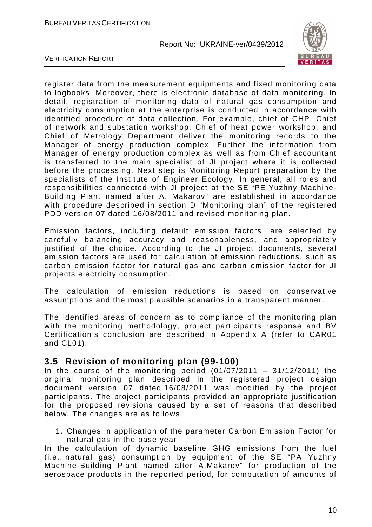

VERIFICATION REPORT

register data from the measurement equipments and fixed monitoring data to logbooks. Moreover, there is electronic database of data monitoring. In detail, registration of monitoring data of natural gas consumption and electricity consumption at the enterprise is conducted in accordance with identified procedure of data collection. For example, chief of CHP, Chief of network and substation workshop, Chief of heat power workshop, and Chief of Metrology Department deliver the monitoring records to the Manager of energy production complex. Further the information from Manager of energy production complex as well as from Chief accountant is transferred to the main specialist of JI project where it is collected before the processing. Next step is Monitoring Report preparation by the specialists of the Institute of Engineer Ecology. In general, all roles and responsibilities connected with JI project at the SE "PE Yuzhny Machine-Building Plant named after A. Makarov" are established in accordance with procedure described in section D "Monitoring plan" of the registered PDD version 07 dated 16/08/2011 and revised monitoring plan.

Emission factors, including default emission factors, are selected by carefully balancing accuracy and reasonableness, and appropriately justified of the choice. According to the JI project documents, several emission factors are used for calculation of emission reductions, such as carbon emission factor for natural gas and carbon emission factor for JI projects electricity consumption.

The calculation of emission reductions is based on conservative assumptions and the most plausible scenarios in a transparent manner.

The identified areas of concern as to compliance of the monitoring plan with the monitoring methodology, project participants response and BV Certification's conclusion are described in Appendix A (refer to CAR01 and CL01).

## **3.5 Revision of monitoring plan (99-100)**

In the course of the monitoring period  $(01/07/2011 - 31/12/2011)$  the original monitoring plan described in the registered project design document version 07 dated 16/08/2011 was modified by the project participants. The project participants provided an appropriate justification for the proposed revisions caused by a set of reasons that described below. The changes are as follows:

1. Changes in application of the parameter Carbon Emission Factor for natural gas in the base year

In the calculation of dynamic baseline GHG emissions from the fuel (i.e., natural gas) consumption by equipment of the SE "PA Yuzhny Machine-Building Plant named after A.Makarov" for production of the aerospace products in the reported period, for computation of amounts of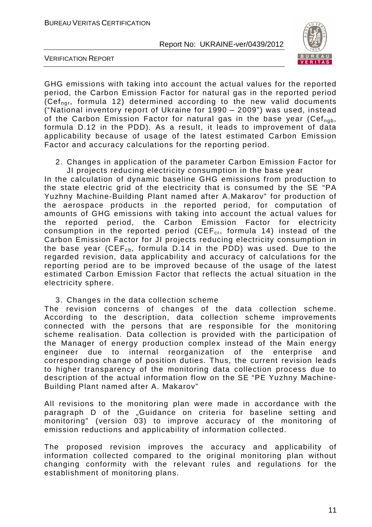

VERIFICATION REPORT

GHG emissions with taking into account the actual values for the reported period, the Carbon Emission Factor for natural gas in the reported period (Cefngr, formula 12) determined according to the new valid documents ("National inventory report of Ukraine for 1990 – 2009") was used, instead of the Carbon Emission Factor for natural gas in the base year (Cef<sub>ngb</sub>, formula D.12 in the PDD). As a result, it leads to improvement of data applicability because of usage of the latest estimated Carbon Emission Factor and accuracy calculations for the reporting period.

2. Changes in application of the parameter Carbon Emission Factor for JI projects reducing electricity consumption in the base year

In the calculation of dynamic baseline GHG emissions from production to the state electric grid of the electricity that is consumed by the SE "PA Yuzhny Machine-Building Plant named after A.Makarov" for production of the aerospace products in the reported period, for computation of amounts of GHG emissions with taking into account the actual values for the reported period, the Carbon Emission Factor for electricity consumption in the reported period (CEF $_{cr}$ , formula 14) instead of the Carbon Emission Factor for JI projects reducing electricity consumption in the base year (CEF<sub>cb</sub>, formula D.14 in the PDD) was used. Due to the regarded revision, data applicability and accuracy of calculations for the reporting period are to be improved because of the usage of the latest estimated Carbon Emission Factor that reflects the actual situation in the electricity sphere.

3. Changes in the data collection scheme

The revision concerns of changes of the data collection scheme. According to the description, data collection scheme improvements connected with the persons that are responsible for the monitoring scheme realisation. Data collection is provided with the participation of the Manager of energy production complex instead of the Main energy engineer due to internal reorganization of the enterprise and corresponding change of position duties. Thus, the current revision leads to higher transparency of the monitoring data collection process due to description of the actual information flow on the SE "PE Yuzhny Machine-Building Plant named after A. Makarov"

All revisions to the monitoring plan were made in accordance with the paragraph D of the "Guidance on criteria for baseline setting and monitoring" (version 03) to improve accuracy of the monitoring of emission reductions and applicability of information collected.

The proposed revision improves the accuracy and applicability of information collected compared to the original monitoring plan without changing conformity with the relevant rules and regulations for the establishment of monitoring plans.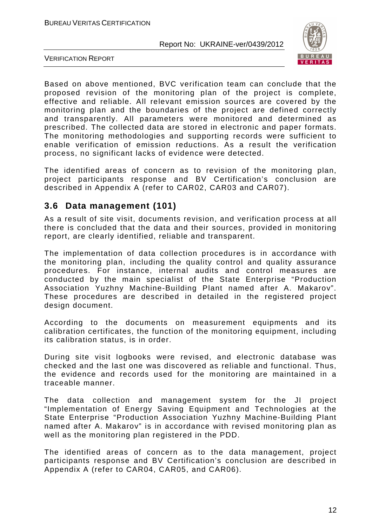

VERIFICATION REPORT

Based on above mentioned, BVC verification team can conclude that the proposed revision of the monitoring plan of the project is complete, effective and reliable. All relevant emission sources are covered by the monitoring plan and the boundaries of the project are defined correctly and transparently. All parameters were monitored and determined as prescribed. The collected data are stored in electronic and paper formats. The monitoring methodologies and supporting records were sufficient to enable verification of emission reductions. As a result the verification process, no significant lacks of evidence were detected.

The identified areas of concern as to revision of the monitoring plan, project participants response and BV Certification's conclusion are described in Appendix A (refer to CAR02, CAR03 and CAR07).

#### **3.6 Data management (101)**

As a result of site visit, documents revision, and verification process at all there is concluded that the data and their sources, provided in monitoring report, are clearly identified, reliable and transparent.

The implementation of data collection procedures is in accordance with the monitoring plan, including the quality control and quality assurance procedures. For instance, internal audits and control measures are conducted by the main specialist of the State Enterprise "Production Association Yuzhny Machine-Building Plant named after A. Makarov". These procedures are described in detailed in the registered project design document.

According to the documents on measurement equipments and its calibration certificates, the function of the monitoring equipment, including its calibration status, is in order.

During site visit logbooks were revised, and electronic database was checked and the last one was discovered as reliable and functional. Thus, the evidence and records used for the monitoring are maintained in a traceable manner.

The data collection and management system for the JI project "Implementation of Energy Saving Equipment and Technologies at the State Enterprise "Production Association Yuzhny Machine-Building Plant named after A. Makarov" is in accordance with revised monitoring plan as well as the monitoring plan registered in the PDD.

The identified areas of concern as to the data management, project participants response and BV Certification's conclusion are described in Appendix A (refer to CAR04, CAR05, and CAR06).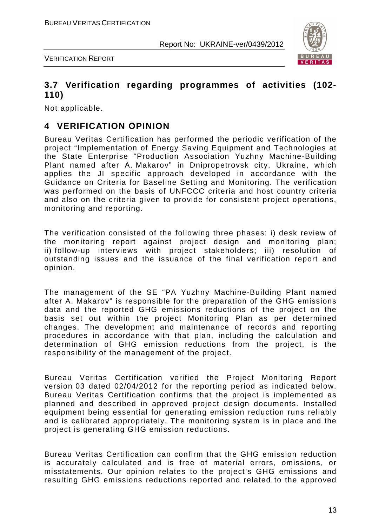

VERIFICATION REPORT

### **3.7 Verification regarding programmes of activities (102- 110)**

Not applicable.

## **4 VERIFICATION OPINION**

Bureau Veritas Certification has performed the periodic verification of the project "Implementation of Energy Saving Equipment and Technologies at the State Enterprise "Production Association Yuzhny Machine-Building Plant named after A. Makarov" in Dnipropetrovsk city, Ukraine, which applies the JI specific approach developed in accordance with the Guidance on Criteria for Baseline Setting and Monitoring. The verification was performed on the basis of UNFCCC criteria and host country criteria and also on the criteria given to provide for consistent project operations, monitoring and reporting.

The verification consisted of the following three phases: i) desk review of the monitoring report against project design and monitoring plan; ii) follow-up interviews with project stakeholders; iii) resolution of outstanding issues and the issuance of the final verification report and opinion.

The management of the SE "PA Yuzhny Machine-Building Plant named after A. Makarov" is responsible for the preparation of the GHG emissions data and the reported GHG emissions reductions of the project on the basis set out within the project Monitoring Plan as per determined changes. The development and maintenance of records and reporting procedures in accordance with that plan, including the calculation and determination of GHG emission reductions from the project, is the responsibility of the management of the project.

Bureau Veritas Certification verified the Project Monitoring Report version 03 dated 02/04/2012 for the reporting period as indicated below. Bureau Veritas Certification confirms that the project is implemented as planned and described in approved project design documents. Installed equipment being essential for generating emission reduction runs reliably and is calibrated appropriately. The monitoring system is in place and the project is generating GHG emission reductions.

Bureau Veritas Certification can confirm that the GHG emission reduction is accurately calculated and is free of material errors, omissions, or misstatements. Our opinion relates to the project's GHG emissions and resulting GHG emissions reductions reported and related to the approved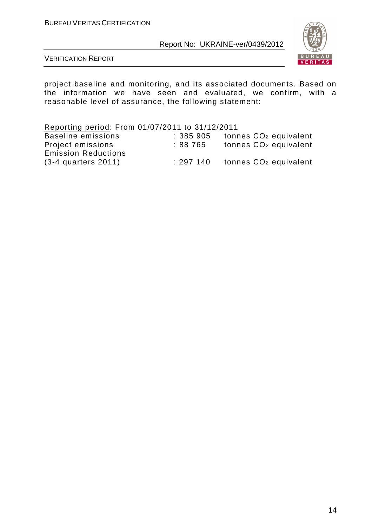

VERIFICATION REPORT

project baseline and monitoring, and its associated documents. Based on the information we have seen and evaluated, we confirm, with a reasonable level of assurance, the following statement:

| Reporting period: From 01/07/2011 to 31/12/2011 |          |                                   |
|-------------------------------------------------|----------|-----------------------------------|
| <b>Baseline emissions</b>                       | : 385905 | tonnes CO <sub>2</sub> equivalent |
| Project emissions                               | :88 765  | tonnes CO <sub>2</sub> equivalent |
| <b>Emission Reductions</b>                      |          |                                   |
| $(3-4$ quarters $2011$ )                        | :297 140 | tonnes CO <sub>2</sub> equivalent |
|                                                 |          |                                   |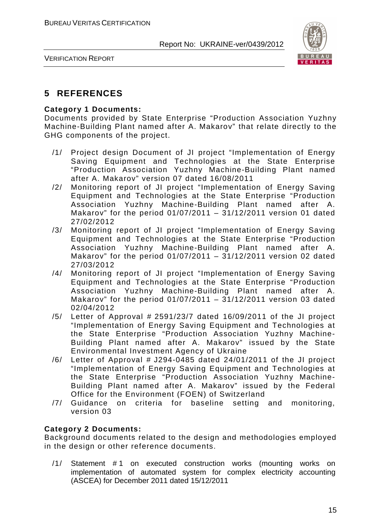

VERIFICATION REPORT

# **5 REFERENCES**

#### **Category 1 Documents:**

Documents provided by State Enterprise "Production Association Yuzhny Machine-Building Plant named after A. Makarov" that relate directly to the GHG components of the project.

- /1/ Project design Document of JI project "Implementation of Energy Saving Equipment and Technologies at the State Enterprise "Production Association Yuzhny Machine-Building Plant named after A. Makarov" version 07 dated 16/08/2011
- /2/ Monitoring report of JI project "Implementation of Energy Saving Equipment and Technologies at the State Enterprise "Production Association Yuzhny Machine-Building Plant named after A. Makarov" for the period 01/07/2011 – 31/12/2011 version 01 dated 27/02/2012
- /3/ Monitoring report of JI project "Implementation of Energy Saving Equipment and Technologies at the State Enterprise "Production Association Yuzhny Machine-Building Plant named after A. Makarov" for the period  $01/07/2011 - 31/12/2011$  version 02 dated 27/03/2012
- /4/ Monitoring report of JI project "Implementation of Energy Saving Equipment and Technologies at the State Enterprise "Production Association Yuzhny Machine-Building Plant named after A. Makarov" for the period 01/07/2011 – 31/12/2011 version 03 dated 02/04/2012
- $/5/$  Letter of Approval # 2591/23/7 dated 16/09/2011 of the JI project "Implementation of Energy Saving Equipment and Technologies at the State Enterprise "Production Association Yuzhny Machine-Building Plant named after A. Makarov" issued by the State Environmental Investment Agency of Ukraine
- $/6/$  Letter of Approval # J294-0485 dated 24/01/2011 of the JI project "Implementation of Energy Saving Equipment and Technologies at the State Enterprise "Production Association Yuzhny Machine-Building Plant named after A. Makarov" issued by the Federal Office for the Environment (FOEN) of Switzerland
- /7/ Guidance on criteria for baseline setting and monitoring, version 03

#### **Category 2 Documents:**

Background documents related to the design and methodologies employed in the design or other reference documents.

/1/ Statement #1 on executed construction works (mounting works on implementation of automated system for complex electricity accounting (ASCEA) for December 2011 dated 15/12/2011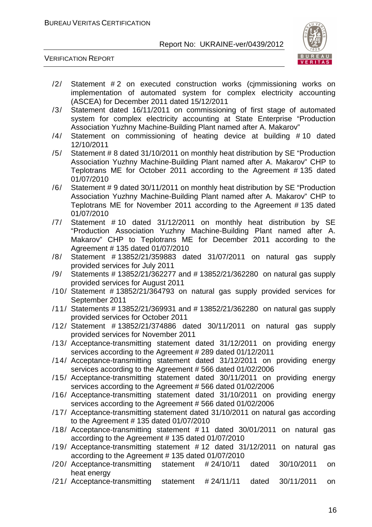

VERIFICATION REPORT

- /2/ Statement #2 on executed construction works (cimmissioning works on implementation of automated system for complex electricity accounting (ASCEA) for December 2011 dated 15/12/2011
- /3/ Statement dated 16/11/2011 on commissioning of first stage of automated system for complex electricity accounting at State Enterprise "Production Association Yuzhny Machine-Building Plant named after A. Makarov"
- /4/ Statement on commissioning of heating device at building # 10 dated 12/10/2011
- /5/ Statement # 8 dated 31/10/2011 on monthly heat distribution by SE "Production Association Yuzhny Machine-Building Plant named after A. Makarov" CHP to Teplotrans ME for October 2011 according to the Agreement # 135 dated 01/07/2010
- /6/ Statement # 9 dated 30/11/2011 on monthly heat distribution by SE "Production Association Yuzhny Machine-Building Plant named after A. Makarov" CHP to Teplotrans ME for November 2011 according to the Agreement # 135 dated 01/07/2010
- /7/ Statement # 10 dated 31/12/2011 on monthly heat distribution by SE "Production Association Yuzhny Machine-Building Plant named after A. Makarov" CHP to Teplotrans ME for December 2011 according to the Agreement # 135 dated 01/07/2010
- /8/ Statement # 13852/21/359883 dated 31/07/2011 on natural gas supply provided services for July 2011
- /9/ Statements # 13852/21/362277 and # 13852/21/362280 on natural gas supply provided services for August 2011
- /10/ Statement # 13852/21/364793 on natural gas supply provided services for September 2011
- /11/ Statements # 13852/21/369931 and # 13852/21/362280 on natural gas supply provided services for October 2011
- /12/ Statement # 13852/21/374886 dated 30/11/2011 on natural gas supply provided services for November 2011
- /13/ Acceptance-transmitting statement dated 31/12/2011 on providing energy services according to the Agreement # 289 dated 01/12/2011
- /14/ Acceptance-transmitting statement dated 31/12/2011 on providing energy services according to the Agreement # 566 dated 01/02/2006
- /15/ Acceptance-transmitting statement dated 30/11/2011 on providing energy services according to the Agreement # 566 dated 01/02/2006
- /16/ Acceptance-transmitting statement dated 31/10/2011 on providing energy services according to the Agreement # 566 dated 01/02/2006
- /17/ Acceptance-transmitting statement dated 31/10/2011 on natural gas according to the Agreement # 135 dated 01/07/2010
- /18/ Acceptance-transmitting statement # 11 dated 30/01/2011 on natural gas according to the Agreement # 135 dated 01/07/2010
- /19/ Acceptance-transmitting statement # 12 dated 31/12/2011 on natural gas according to the Agreement # 135 dated 01/07/2010
- /20/ Acceptance-transmitting statement # 24/10/11 dated 30/10/2011 on heat energy
- /21/ Acceptance-transmitting statement # 24/11/11 dated 30/11/2011 on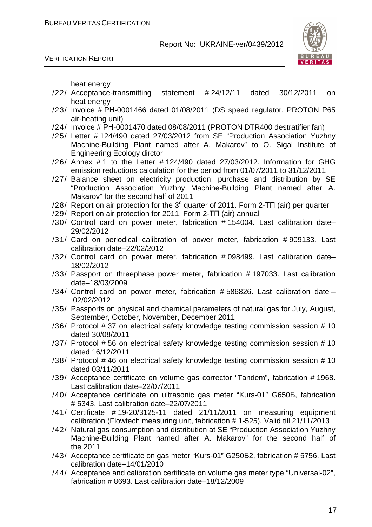



heat energy

- /22/ Acceptance-transmitting statement # 24/12/11 dated 30/12/2011 on heat energy
- /23/ Invoice # РН-0001466 dated 01/08/2011 (DS speed regulator, PROTON Р65 air-heating unit)
- /24/ Invoice # РН-0001470 dated 08/08/2011 (PROTON DTR400 destratifier fan)
- /25/ Letter # 124/490 dated 27/03/2012 from SE "Production Association Yuzhny Machine-Building Plant named after A. Makarov" to O. Sigal Institute of Engineering Ecology dirctor
- /26/ Annex # 1 to the Letter # 124/490 dated 27/03/2012. Information for GHG emission reductions calculation for the period from 01/07/2011 to 31/12/2011
- /27/ Balance sheet on electricity production, purchase and distribution by SE "Production Association Yuzhny Machine-Building Plant named after A. Makarov" for the second half of 2011
- /28/ Report on air protection for the  $3<sup>d</sup>$  quarter of 2011. Form 2-TN (air) per quarter
- /29/ Report on air protection for 2011. Form 2-ТП (air) annual
- /30/ Control card on power meter, fabrication # 154004. Last calibration date– 29/02/2012
- /31/ Card on periodical calibration of power meter, fabrication # 909133. Last calibration date–22/02/2012
- /32/ Control card on power meter, fabrication # 098499. Last calibration date– 18/02/2012
- /33/ Passport on threephase power meter, fabrication # 197033. Last calibration date–18/03/2009
- /34/ Control card on power meter, fabrication # 586826. Last calibration date 02/02/2012
- /35/ Passports on physical and chemical parameters of natural gas for July, August, September, October, November, December 2011
- /36/ Protocol # 37 on electrical safety knowledge testing commission session # 10 dated 30/08/2011
- /37/ Protocol # 56 on electrical safety knowledge testing commission session # 10 dated 16/12/2011
- /38/ Protocol # 46 on electrical safety knowledge testing commission session # 10 dated 03/11/2011
- /39/ Acceptance certificate on volume gas corrector "Tandem", fabrication # 1968. Last calibration date–22/07/2011
- /40/ Acceptance certificate on ultrasonic gas meter "Kurs-01" G650Б, fabrication # 5343. Last calibration date–22/07/2011
- /41/ Certificate # 19-20/3125-11 dated 21/11/2011 on measuring equipment calibration (Flowtech measuring unit, fabrication # 1-525). Valid till 21/11/2013
- /42/ Natural gas consumption and distribution at SE "Production Association Yuzhny Machine-Building Plant named after A. Makarov" for the second half of the 2011
- /43/ Acceptance certificate on gas meter "Kurs-01" G250Б2, fabrication # 5756. Last calibration date–14/01/2010
- /44/ Acceptance and calibration certificate on volume gas meter type "Universal-02", fabrication # 8693. Last calibration date–18/12/2009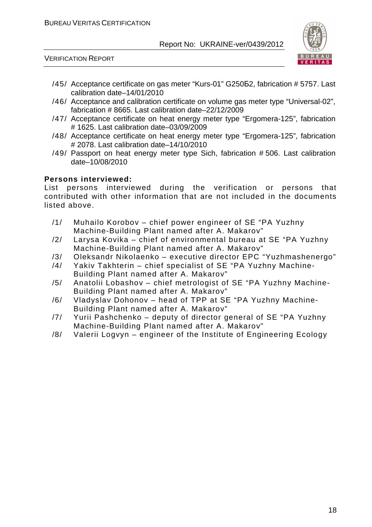

VERIFICATION REPORT

- /45/ Acceptance certificate on gas meter "Kurs-01" G250Б2, fabrication # 5757. Last calibration date–14/01/2010
- /46/ Acceptance and calibration certificate on volume gas meter type "Universal-02", fabrication # 8665. Last calibration date–22/12/2009
- /47/ Acceptance certificate on heat energy meter type "Ergomera-125", fabrication # 1625. Last calibration date–03/09/2009
- /48/ Acceptance certificate on heat energy meter type "Ergomera-125", fabrication # 2078. Last calibration date–14/10/2010
- /49/ Passport on heat energy meter type Sich, fabrication # 506. Last calibration date–10/08/2010

#### **Persons interviewed:**

List persons interviewed during the verification or persons that contributed with other information that are not included in the documents listed above.

- /1/ Muhailo Korobov chief power engineer of SE "PA Yuzhny Machine-Building Plant named after A. Makarov"
- /2/ Larysa Kovika chief of environmental bureau at SE "PA Yuzhny Machine-Building Plant named after A. Makarov"
- /3/ Oleksandr Nikolaenko executive director EPC "Yuzhmashenergo"
- /4/ Yakiv Takhterin chief specialist of SE "PA Yuzhny Machine-Building Plant named after A. Makarov"
- /5/ Anatolii Lobashov chief metrologist of SE "PA Yuzhny Machine-Building Plant named after A. Makarov"
- /6/ Vladyslav Dohonov head of TPP at SE "PA Yuzhny Machine-Building Plant named after A. Makarov"
- /7/ Yurii Pashchenko deputy of director general of SE "PA Yuzhny Machine-Building Plant named after A. Makarov"
- /8/ Valerii Logvyn engineer of the Institute of Engineering Ecology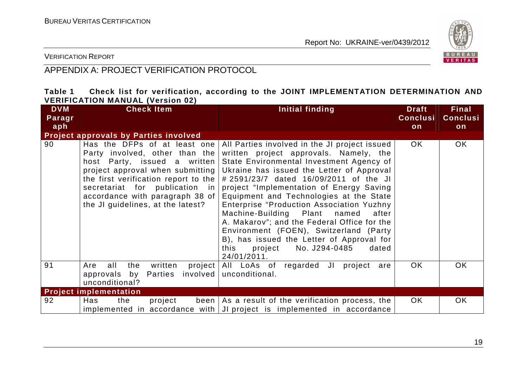

VERIFICATION REPORT

# APPENDIX A: PROJECT VERIFICATION PROTOCOL

| Table 1 |                                         |  |  |  | Check list for verification, according to the JOINT IMPLEMENTATION DETERMINATION AND |  |
|---------|-----------------------------------------|--|--|--|--------------------------------------------------------------------------------------|--|
|         | <b>VERIFICATION MANUAL (Version 02)</b> |  |  |  |                                                                                      |  |

| <b>DVM</b><br>Paragr | <b>Check Item</b>                                                                                                                                                                                                                                                                    | Initial finding                                                                                                                                                                                                                                                                                                                                                                                                                                                                                                                                                                                                  | <b>Draft</b><br><b>Conclusi</b> | <b>Final</b><br><b>Conclusi</b> |
|----------------------|--------------------------------------------------------------------------------------------------------------------------------------------------------------------------------------------------------------------------------------------------------------------------------------|------------------------------------------------------------------------------------------------------------------------------------------------------------------------------------------------------------------------------------------------------------------------------------------------------------------------------------------------------------------------------------------------------------------------------------------------------------------------------------------------------------------------------------------------------------------------------------------------------------------|---------------------------------|---------------------------------|
| aph                  |                                                                                                                                                                                                                                                                                      |                                                                                                                                                                                                                                                                                                                                                                                                                                                                                                                                                                                                                  | on                              | on                              |
|                      | <b>Project approvals by Parties involved</b>                                                                                                                                                                                                                                         |                                                                                                                                                                                                                                                                                                                                                                                                                                                                                                                                                                                                                  |                                 |                                 |
| 90                   | Has the DFPs of at least one<br>Party involved, other than the<br>host Party, issued a written<br>project approval when submitting<br>the first verification report to the<br>secretariat for publication in<br>accordance with paragraph 38 of<br>the JI guidelines, at the latest? | All Parties involved in the JI project issued<br>written project approvals. Namely, the<br>State Environmental Investment Agency of<br>Ukraine has issued the Letter of Approval<br># 2591/23/7 dated 16/09/2011 of the JI<br>project "Implementation of Energy Saving<br>Equipment and Technologies at the State<br><b>Enterprise "Production Association Yuzhny</b><br>Machine-Building Plant named<br>after<br>A. Makarov"; and the Federal Office for the<br>Environment (FOEN), Switzerland (Party<br>B), has issued the Letter of Approval for<br>this<br>No. J294-0485<br>project<br>dated<br>24/01/2011. | OK.                             | OK.                             |
| 91                   | Are<br>all<br>the<br>written<br>involved  <br>approvals by<br>Parties<br>unconditional?                                                                                                                                                                                              | project All LoAs of regarded JI<br>project<br>are<br>unconditional.                                                                                                                                                                                                                                                                                                                                                                                                                                                                                                                                              | OK.                             | <b>OK</b>                       |
|                      | <b>Project implementation</b>                                                                                                                                                                                                                                                        |                                                                                                                                                                                                                                                                                                                                                                                                                                                                                                                                                                                                                  |                                 |                                 |
| 92                   | Has<br>the<br>project                                                                                                                                                                                                                                                                | been $\vert$ As a result of the verification process, the<br>implemented in accordance with $ J $ project is implemented in accordance                                                                                                                                                                                                                                                                                                                                                                                                                                                                           | OK.                             | OK                              |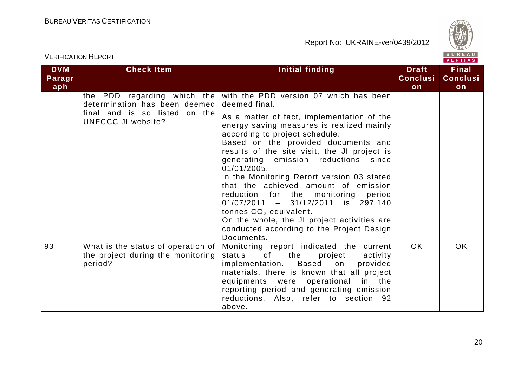

|                             | <b>VERIFICATION REPORT</b>                                                             | BUREAU<br><b>VERITAS</b>                                                                                                                                                                                                                                                                                                                                                                                                                                                                                                                                                                     |                                       |                                       |
|-----------------------------|----------------------------------------------------------------------------------------|----------------------------------------------------------------------------------------------------------------------------------------------------------------------------------------------------------------------------------------------------------------------------------------------------------------------------------------------------------------------------------------------------------------------------------------------------------------------------------------------------------------------------------------------------------------------------------------------|---------------------------------------|---------------------------------------|
| <b>DVM</b><br>Paragr<br>aph | <b>Check Item</b>                                                                      | Initial finding                                                                                                                                                                                                                                                                                                                                                                                                                                                                                                                                                                              | <b>Draft</b><br><b>Conclusi</b><br>on | <b>Final</b><br><b>Conclusi</b><br>on |
|                             | the PDD regarding which the<br>determination has been deemed                           | with the PDD version 07 which has been<br>deemed final.                                                                                                                                                                                                                                                                                                                                                                                                                                                                                                                                      |                                       |                                       |
|                             | final and is so listed on the<br><b>UNFCCC JI website?</b>                             | As a matter of fact, implementation of the<br>energy saving measures is realized mainly<br>according to project schedule.<br>Based on the provided documents and<br>results of the site visit, the JI project is<br>generating emission reductions since<br>01/01/2005.<br>In the Monitoring Rerort version 03 stated<br>that the achieved amount of emission<br>reduction for the monitoring period<br>$01/07/2011 - 31/12/2011$ is 297 140<br>tonnes CO <sub>2</sub> equivalent.<br>On the whole, the JI project activities are<br>conducted according to the Project Design<br>Documents. |                                       |                                       |
| 93                          | What is the status of operation of $ $<br>the project during the monitoring<br>period? | Monitoring report indicated the current<br>of<br>the<br>status<br>project<br>activity<br>implementation. Based on<br>provided<br>materials, there is known that all project<br>equipments were operational in the<br>reporting period and generating emission<br>reductions. Also, refer to section 92<br>above.                                                                                                                                                                                                                                                                             | <b>OK</b>                             | <b>OK</b>                             |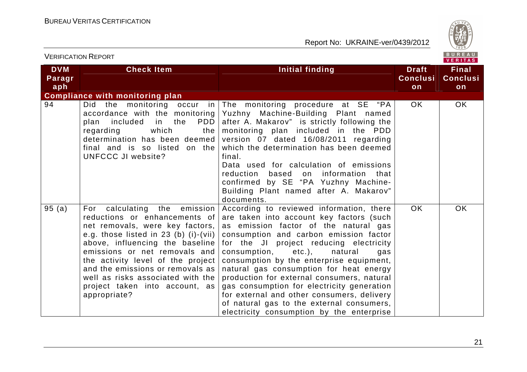

| <b>VERIFICATION REPORT</b>  |                                                                                                                                                                                                                                                                                                                                                                                        |                                                                                                                                                                                                                                                                                                                                                                                                                                                                                                                                                                                        |                                       |                                       |
|-----------------------------|----------------------------------------------------------------------------------------------------------------------------------------------------------------------------------------------------------------------------------------------------------------------------------------------------------------------------------------------------------------------------------------|----------------------------------------------------------------------------------------------------------------------------------------------------------------------------------------------------------------------------------------------------------------------------------------------------------------------------------------------------------------------------------------------------------------------------------------------------------------------------------------------------------------------------------------------------------------------------------------|---------------------------------------|---------------------------------------|
| <b>DVM</b><br>Paragr<br>aph | <b>Check Item</b>                                                                                                                                                                                                                                                                                                                                                                      | Initial finding                                                                                                                                                                                                                                                                                                                                                                                                                                                                                                                                                                        | <b>Draft</b><br><b>Conclusi</b><br>on | <b>Final</b><br><b>Conclusi</b><br>on |
|                             | <b>Compliance with monitoring plan</b>                                                                                                                                                                                                                                                                                                                                                 |                                                                                                                                                                                                                                                                                                                                                                                                                                                                                                                                                                                        |                                       |                                       |
| 94                          | Did the monitoring occur in<br>accordance with the monitoring<br><b>PDD</b><br>included<br>in the<br>plan<br>which<br>regarding<br>the<br>determination has been deemed<br>final and is so listed on the<br><b>UNFCCC JI website?</b>                                                                                                                                                  | The monitoring procedure at SE "PA<br>Yuzhny Machine-Building Plant named<br>after A. Makarov" is strictly following the<br>monitoring plan included in the PDD<br>version 07 dated 16/08/2011 regarding<br>which the determination has been deemed<br>final.<br>Data used for calculation of emissions<br>reduction based on information that<br>confirmed by SE "PA Yuzhny Machine-<br>Building Plant named after A. Makarov"<br>documents.                                                                                                                                          | OK.                                   | OK.                                   |
| 95(a)                       | calculating the emission<br>For<br>reductions or enhancements of<br>net removals, were key factors,<br>e.g. those listed in 23 (b) $(i)$ - $(vii)$<br>above, influencing the baseline<br>emissions or net removals and<br>the activity level of the project<br>and the emissions or removals as<br>well as risks associated with the<br>project taken into account, as<br>appropriate? | According to reviewed information, there<br>are taken into account key factors (such<br>as emission factor of the natural gas<br>consumption and carbon emission factor<br>for the JI project reducing electricity<br>consumption, etc.),<br>natural<br>gas<br>consumption by the enterprise equipment,<br>natural gas consumption for heat energy<br>production for external consumers, natural<br>gas consumption for electricity generation<br>for external and other consumers, delivery<br>of natural gas to the external consumers,<br>electricity consumption by the enterprise | <b>OK</b>                             | <b>OK</b>                             |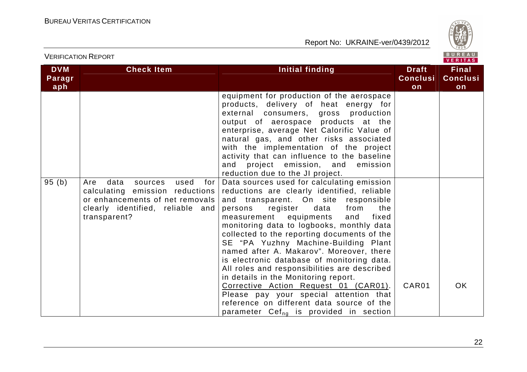

**Final Conclusion** 

 **Conclusion**

#### VERIFICATION REPORT**DVM Paragraph Check Item Initial finding Check Item Initial finding Check Item Initial finding** equipment for production of the aerospace products, delivery of heat energy for external consumers, gross production output of aerospace products at the enterprise, average Net Calorific Value of natural gas, and other risks associated with the implementation of the project activity that can influence to the baseline 95 (b) Are data sources used for

|       |                                                                                                               | activity that can inhabited to the basefine<br>and project emission, and emission<br>reduction due to the JI project.                                                                                                                                                                                                                                                                                                                                                                                                                                                                                                                                                                                                                                                |       |           |
|-------|---------------------------------------------------------------------------------------------------------------|----------------------------------------------------------------------------------------------------------------------------------------------------------------------------------------------------------------------------------------------------------------------------------------------------------------------------------------------------------------------------------------------------------------------------------------------------------------------------------------------------------------------------------------------------------------------------------------------------------------------------------------------------------------------------------------------------------------------------------------------------------------------|-------|-----------|
| 95(b) | data<br>Are<br>sources<br>or enhancements of net removals<br>clearly identified, reliable and<br>transparent? | used for   Data sources used for calculating emission<br>calculating emission reductions reductions are clearly identified, reliable<br>and transparent. On site responsible<br>persons register data from<br>the<br>measurement equipments and<br>fixed<br>monitoring data to logbooks, monthly data<br>collected to the reporting documents of the<br>SE "PA Yuzhny Machine-Building Plant<br>named after A. Makarov". Moreover, there<br>is electronic database of monitoring data.<br>All roles and responsibilities are described<br>in details in the Monitoring report.<br>Corrective Action Request 01 (CAR01).<br>Please pay your special attention that<br>reference on different data source of the<br>parameter Cef <sub>ng</sub> is provided in section | CAR01 | <b>OK</b> |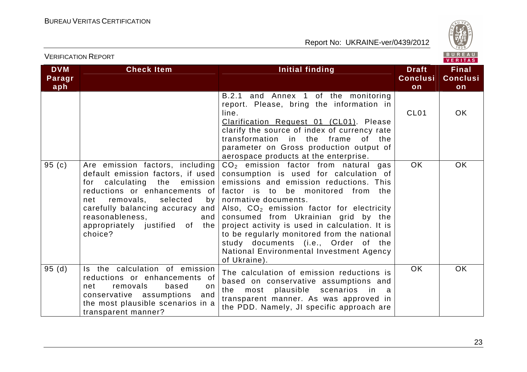

|                             |                                                                                                                                                                                                                                                                                     |                                                                                                                                                                                                                                                                                                                                                                                                                                                                                        |                                       | $V = W + W$                           |
|-----------------------------|-------------------------------------------------------------------------------------------------------------------------------------------------------------------------------------------------------------------------------------------------------------------------------------|----------------------------------------------------------------------------------------------------------------------------------------------------------------------------------------------------------------------------------------------------------------------------------------------------------------------------------------------------------------------------------------------------------------------------------------------------------------------------------------|---------------------------------------|---------------------------------------|
| <b>DVM</b><br>Paragr<br>aph | <b>Check Item</b>                                                                                                                                                                                                                                                                   | Initial finding                                                                                                                                                                                                                                                                                                                                                                                                                                                                        | <b>Draft</b><br><b>Conclusi</b><br>on | <b>Final</b><br><b>Conclusi</b><br>on |
|                             |                                                                                                                                                                                                                                                                                     | B.2.1 and Annex 1 of the monitoring<br>report. Please, bring the information in<br>line.<br>Clarification Request 01 (CL01). Please<br>clarify the source of index of currency rate<br>transformation in the frame<br>of the<br>parameter on Gross production output of<br>aerospace products at the enterprise.                                                                                                                                                                       | CL <sub>01</sub>                      | OK.                                   |
| 95(c)                       | Are emission factors, including<br>default emission factors, if used<br>for calculating the emission<br>reductions or enhancements of<br>removals, selected<br>net<br>by<br>carefully balancing accuracy and<br>reasonableness,<br>and<br>appropriately justified of the<br>choice? | $CO2$ emission factor from natural gas<br>consumption is used for calculation of<br>emissions and emission reductions. This<br>factor is to<br>be monitored from the<br>normative documents.<br>Also, $CO2$ emission factor for electricity<br>consumed from Ukrainian grid by the<br>project activity is used in calculation. It is<br>to be regularly monitored from the national<br>study documents (i.e., Order of the<br>National Environmental Investment Agency<br>of Ukraine). | <b>OK</b>                             | OK                                    |
| 95(d)                       | Is the calculation of emission<br>reductions or enhancements of<br>removals<br>based<br>net<br>on.<br>conservative assumptions<br>and<br>the most plausible scenarios in a<br>transparent manner?                                                                                   | The calculation of emission reductions is<br>based on conservative assumptions and<br>plausible scenarios<br>the<br>most<br>in.<br>transparent manner. As was approved in<br>the PDD. Namely, JI specific approach are                                                                                                                                                                                                                                                                 | <b>OK</b>                             | <b>OK</b>                             |

VERIFICATION REPORT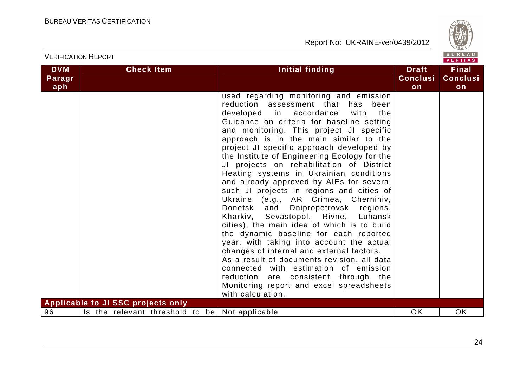

| <b>VERIFICATION REPORT</b>  |                                    |                                                                                                                                                                                                                                                                                                                                                                                                                                                                                                                                                                                                                                                                                                                                                                                                                                                                                                                                                                                                                                                      |                                       | BUREAU<br><b>VERITAS</b>              |
|-----------------------------|------------------------------------|------------------------------------------------------------------------------------------------------------------------------------------------------------------------------------------------------------------------------------------------------------------------------------------------------------------------------------------------------------------------------------------------------------------------------------------------------------------------------------------------------------------------------------------------------------------------------------------------------------------------------------------------------------------------------------------------------------------------------------------------------------------------------------------------------------------------------------------------------------------------------------------------------------------------------------------------------------------------------------------------------------------------------------------------------|---------------------------------------|---------------------------------------|
| <b>DVM</b><br>Paragr<br>aph | <b>Check Item</b>                  | Initial finding                                                                                                                                                                                                                                                                                                                                                                                                                                                                                                                                                                                                                                                                                                                                                                                                                                                                                                                                                                                                                                      | <b>Draft</b><br><b>Conclusi</b><br>on | <b>Final</b><br><b>Conclusi</b><br>on |
|                             | Applicable to JI SSC projects only | used regarding monitoring and emission<br>reduction assessment that has<br>been<br>developed in accordance<br>the<br>with<br>Guidance on criteria for baseline setting<br>and monitoring. This project JI specific<br>approach is in the main similar to the<br>project JI specific approach developed by<br>the Institute of Engineering Ecology for the<br>JI projects on rehabilitation of District<br>Heating systems in Ukrainian conditions<br>and already approved by AIEs for several<br>such JI projects in regions and cities of<br>Ukraine (e.g., AR Crimea, Chernihiv,<br>Donetsk and Dnipropetrovsk regions,<br>Kharkiv, Sevastopol, Rivne, Luhansk<br>cities), the main idea of which is to build<br>the dynamic baseline for each reported<br>year, with taking into account the actual<br>changes of internal and external factors.<br>As a result of documents revision, all data<br>connected with estimation of emission<br>reduction are consistent through the<br>Monitoring report and excel spreadsheets<br>with calculation. |                                       |                                       |
| 96                          |                                    | Is the relevant threshold to be   Not applicable                                                                                                                                                                                                                                                                                                                                                                                                                                                                                                                                                                                                                                                                                                                                                                                                                                                                                                                                                                                                     | <b>OK</b>                             | <b>OK</b>                             |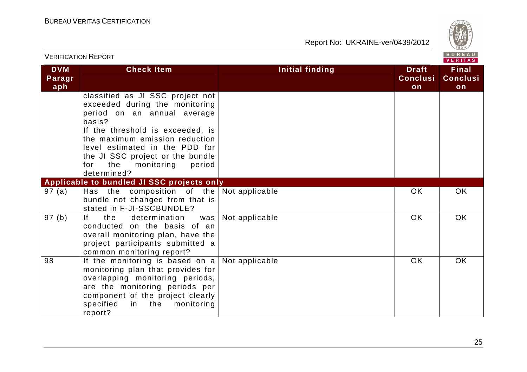

|                             | <b>VERIFICATION REPORT</b>                                                                                                                                                                                                                                                                                   |                        |                                       | BUREAU<br><b>VERITAS</b>              |
|-----------------------------|--------------------------------------------------------------------------------------------------------------------------------------------------------------------------------------------------------------------------------------------------------------------------------------------------------------|------------------------|---------------------------------------|---------------------------------------|
| <b>DVM</b><br>Paragr<br>aph | <b>Check Item</b>                                                                                                                                                                                                                                                                                            | <b>Initial finding</b> | <b>Draft</b><br><b>Conclusi</b><br>on | <b>Final</b><br><b>Conclusi</b><br>on |
|                             | classified as JI SSC project not<br>exceeded during the monitoring<br>period on an annual average<br>basis?<br>If the threshold is exceeded, is<br>the maximum emission reduction<br>level estimated in the PDD for<br>the JI SSC project or the bundle<br>for<br>the<br>monitoring<br>period<br>determined? |                        |                                       |                                       |
|                             | Applicable to bundled JI SSC projects only                                                                                                                                                                                                                                                                   |                        |                                       |                                       |
| 97 (a)                      | Has the composition of the $\vert$ Not applicable<br>bundle not changed from that is<br>stated in F-JI-SSCBUNDLE?                                                                                                                                                                                            |                        | <b>OK</b>                             | <b>OK</b>                             |
| 97 (b)                      | f <br>determination<br>the<br>was  <br>conducted on the basis of an<br>overall monitoring plan, have the<br>project participants submitted a<br>common monitoring report?                                                                                                                                    | Not applicable         | <b>OK</b>                             | <b>OK</b>                             |
| 98                          | If the monitoring is based on $a$<br>monitoring plan that provides for<br>overlapping monitoring periods,<br>are the monitoring periods per<br>component of the project clearly<br>specified<br>in the<br>monitoring<br>report?                                                                              | Not applicable         | <b>OK</b>                             | <b>OK</b>                             |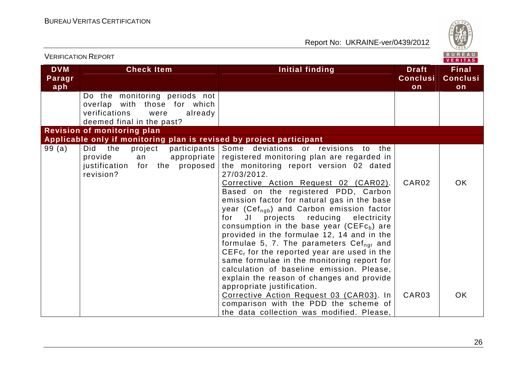

| <b>VERIFICATION REPORT</b>  |                                                                                                                                                                 |                                                                                                                                                                                                                                                                                                                                                                                                                                                                                                                                                                                                                                                                                                                                                                                                                                                                                                                | <b>BUREAU</b><br>VERITAS               |                                       |
|-----------------------------|-----------------------------------------------------------------------------------------------------------------------------------------------------------------|----------------------------------------------------------------------------------------------------------------------------------------------------------------------------------------------------------------------------------------------------------------------------------------------------------------------------------------------------------------------------------------------------------------------------------------------------------------------------------------------------------------------------------------------------------------------------------------------------------------------------------------------------------------------------------------------------------------------------------------------------------------------------------------------------------------------------------------------------------------------------------------------------------------|----------------------------------------|---------------------------------------|
| <b>DVM</b><br>Paragr<br>aph | <b>Check Item</b>                                                                                                                                               | Initial finding                                                                                                                                                                                                                                                                                                                                                                                                                                                                                                                                                                                                                                                                                                                                                                                                                                                                                                | <b>Draft</b><br><b>Conclusi</b><br>on  | <b>Final</b><br><b>Conclusi</b><br>on |
|                             | Do the monitoring periods not<br>overlap with those for which<br>verifications<br>were<br>already<br>deemed final in the past?                                  |                                                                                                                                                                                                                                                                                                                                                                                                                                                                                                                                                                                                                                                                                                                                                                                                                                                                                                                |                                        |                                       |
|                             | <b>Revision of monitoring plan</b>                                                                                                                              |                                                                                                                                                                                                                                                                                                                                                                                                                                                                                                                                                                                                                                                                                                                                                                                                                                                                                                                |                                        |                                       |
| 99(a)                       | Applicable only if monitoring plan is revised by project participant<br>Did<br>the<br>project<br>provide<br>an<br>justification for the proposed  <br>revision? | participants Some deviations or revisions<br>to the<br>appropriate registered monitoring plan are regarded in<br>the monitoring report version 02 dated<br>27/03/2012.<br>Corrective Action Request 02 (CAR02).<br>Based on the registered PDD, Carbon<br>emission factor for natural gas in the base<br>year (Cef <sub>ngb</sub> ) and Carbon emission factor<br>JI projects reducing electricity<br>for<br>consumption in the base year ( $CEFcb$ ) are<br>provided in the formulae 12, 14 and in the<br>formulae 5, 7. The parameters $Cefngr$ and<br>$CEFcr$ for the reported year are used in the<br>same formulae in the monitoring report for<br>calculation of baseline emission. Please,<br>explain the reason of changes and provide<br>appropriate justification.<br>Corrective Action Request 03 (CAR03). In<br>comparison with the PDD the scheme of<br>the data collection was modified. Please, | CAR <sub>02</sub><br>CAR <sub>03</sub> | <b>OK</b><br>OK.                      |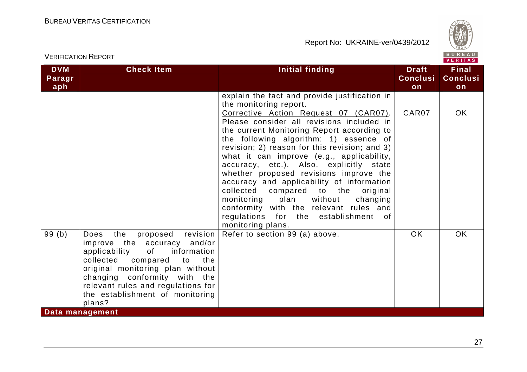

|                             | <b>VERIFICATION REPORT</b>                                                                                                                                                                                                                                                                      |                                                                                                                                                                                                                                                                                                                                                                                                                                                                                                                                                                                                                                                                                 |                                       | BUREAU<br><b>VERITAS</b>              |
|-----------------------------|-------------------------------------------------------------------------------------------------------------------------------------------------------------------------------------------------------------------------------------------------------------------------------------------------|---------------------------------------------------------------------------------------------------------------------------------------------------------------------------------------------------------------------------------------------------------------------------------------------------------------------------------------------------------------------------------------------------------------------------------------------------------------------------------------------------------------------------------------------------------------------------------------------------------------------------------------------------------------------------------|---------------------------------------|---------------------------------------|
| <b>DVM</b><br>Paragr<br>aph | <b>Check Item</b>                                                                                                                                                                                                                                                                               | Initial finding                                                                                                                                                                                                                                                                                                                                                                                                                                                                                                                                                                                                                                                                 | <b>Draft</b><br><b>Conclusi</b><br>on | <b>Final</b><br><b>Conclusi</b><br>on |
|                             |                                                                                                                                                                                                                                                                                                 | explain the fact and provide justification in<br>the monitoring report.<br>Corrective Action Request 07 (CAR07).<br>Please consider all revisions included in<br>the current Monitoring Report according to<br>the following algorithm: 1) essence of<br>revision; 2) reason for this revision; and 3)<br>what it can improve (e.g., applicability,<br>accuracy, etc.). Also, explicitly state<br>whether proposed revisions improve the<br>accuracy and applicability of information<br>collected compared to the<br>original<br>monitoring plan<br>without<br>changing<br>conformity with the relevant rules and<br>regulations for the establishment of<br>monitoring plans. | CAR07                                 | OK.                                   |
| 99(b)                       | proposed revision<br>the<br>Does<br>improve the accuracy<br>and/or<br>information<br>applicability<br>of<br>collected compared to<br>the<br>original monitoring plan without<br>changing conformity with the<br>relevant rules and regulations for<br>the establishment of monitoring<br>plans? | Refer to section 99 (a) above.                                                                                                                                                                                                                                                                                                                                                                                                                                                                                                                                                                                                                                                  | <b>OK</b>                             | <b>OK</b>                             |
|                             | Data management                                                                                                                                                                                                                                                                                 |                                                                                                                                                                                                                                                                                                                                                                                                                                                                                                                                                                                                                                                                                 |                                       |                                       |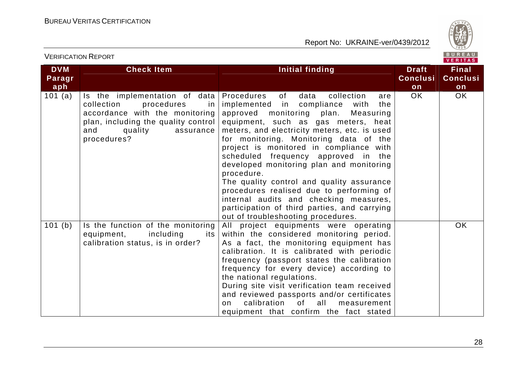VERIFICATION REPORT

Report No: UKRAINE-ver/0439/2012



| <b>DVM</b><br>Paragr<br>aph | <b>Check Item</b>                                                                                                                                                                          | Initial finding                                                                                                                                                                                                                                                                                                                                                                                                                                                                                                                                                                                                                        | <b>Draft</b><br><b>Conclusi</b><br>on | <b>Final</b><br><b>Conclusi</b><br>on |
|-----------------------------|--------------------------------------------------------------------------------------------------------------------------------------------------------------------------------------------|----------------------------------------------------------------------------------------------------------------------------------------------------------------------------------------------------------------------------------------------------------------------------------------------------------------------------------------------------------------------------------------------------------------------------------------------------------------------------------------------------------------------------------------------------------------------------------------------------------------------------------------|---------------------------------------|---------------------------------------|
| 101(a)                      | Is the implementation of data<br>collection<br>procedures<br>in l<br>accordance with the monitoring<br>plan, including the quality control<br>assurance  <br>and<br>quality<br>procedures? | of<br>data<br>collection<br>Procedures<br>are<br>implemented in compliance<br>with<br>the<br>approved monitoring plan. Measuring<br>equipment, such as gas meters, heat<br>meters, and electricity meters, etc. is used<br>for monitoring. Monitoring data of the<br>project is monitored in compliance with<br>scheduled frequency approved in the<br>developed monitoring plan and monitoring<br>procedure.<br>The quality control and quality assurance<br>procedures realised due to performing of<br>internal audits and checking measures,<br>participation of third parties, and carrying<br>out of troubleshooting procedures. | OK.                                   | OK.                                   |
| 101(b)                      | Is the function of the monitoring<br>equipment,<br>including<br>its<br>calibration status, is in order?                                                                                    | All project equipments were operating<br>within the considered monitoring period.<br>As a fact, the monitoring equipment has<br>calibration. It is calibrated with periodic<br>frequency (passport states the calibration<br>frequency for every device) according to<br>the national regulations.<br>During site visit verification team received<br>and reviewed passports and/or certificates<br>calibration<br>of _<br>all<br>measurement<br>on.<br>equipment that confirm the fact stated                                                                                                                                         |                                       | OK                                    |

28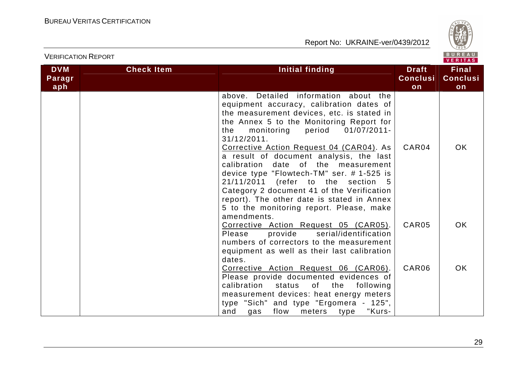

|                             |                   |                                                                                                                                                                                                                                                                                                                                                                                                                                                                                                                                                                                                           |                                       | VERITAS                               |
|-----------------------------|-------------------|-----------------------------------------------------------------------------------------------------------------------------------------------------------------------------------------------------------------------------------------------------------------------------------------------------------------------------------------------------------------------------------------------------------------------------------------------------------------------------------------------------------------------------------------------------------------------------------------------------------|---------------------------------------|---------------------------------------|
| <b>DVM</b><br>Paragr<br>aph | <b>Check Item</b> | <b>Initial finding</b>                                                                                                                                                                                                                                                                                                                                                                                                                                                                                                                                                                                    | <b>Draft</b><br><b>Conclusi</b><br>on | <b>Final</b><br><b>Conclusi</b><br>on |
|                             |                   | above. Detailed information about the<br>equipment accuracy, calibration dates of<br>the measurement devices, etc. is stated in<br>the Annex 5 to the Monitoring Report for<br>monitoring period 01/07/2011-<br>the<br>31/12/2011.<br>Corrective Action Request 04 (CAR04). As<br>a result of document analysis, the last<br>calibration date of the measurement<br>device type "Flowtech-TM" ser. #1-525 is<br>21/11/2011 (refer to the section 5<br>Category 2 document 41 of the Verification<br>report). The other date is stated in Annex<br>5 to the monitoring report. Please, make<br>amendments. | CAR04                                 | OK.                                   |
|                             |                   | Corrective Action Request 05 (CAR05).<br>provide serial/identification<br>Please<br>numbers of correctors to the measurement<br>equipment as well as their last calibration<br>dates.                                                                                                                                                                                                                                                                                                                                                                                                                     | CAR <sub>05</sub>                     | OK.                                   |
|                             |                   | Corrective Action Request 06 (CAR06).<br>Please provide documented evidences of<br>calibration<br>status<br>of<br>the<br>following<br>measurement devices: heat energy meters<br>type "Sich" and type "Ergomera - 125",<br>and<br>flow<br>meters type<br>"Kurs-<br>gas                                                                                                                                                                                                                                                                                                                                    | CAR06                                 | OK.                                   |

VERIFICATION REPORT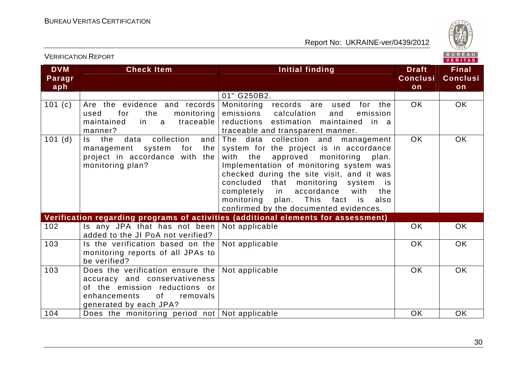

| <b>DVM</b><br>Paragr<br>aph | <b>Check Item</b>                                                                                                                                              | Initial finding                                                                                                                                                                                                                                                                                                                                                                                       | <b>Draft</b><br><b>Conclusi</b><br>on | <b>Final</b><br><b>Conclusi</b><br>on |
|-----------------------------|----------------------------------------------------------------------------------------------------------------------------------------------------------------|-------------------------------------------------------------------------------------------------------------------------------------------------------------------------------------------------------------------------------------------------------------------------------------------------------------------------------------------------------------------------------------------------------|---------------------------------------|---------------------------------------|
|                             |                                                                                                                                                                | 01" G250B2.                                                                                                                                                                                                                                                                                                                                                                                           |                                       |                                       |
| 101(c)                      | Are the evidence and records<br>for<br>the<br>monitoring<br>used<br>traceable<br>maintained<br>in<br>a a<br>manner?                                            | Monitoring records are<br>used<br>for<br>the<br>emissions calculation<br>and<br>emission<br>reductions estimation maintained in a<br>traceable and transparent manner.                                                                                                                                                                                                                                | OK                                    | OK                                    |
| 101(d)                      | collection<br>the<br>data<br>and<br>ls.<br>for<br>the<br>management system<br>project in accordance with the<br>monitoring plan?                               | The data collection and<br>management<br>system for the project is in accordance<br>with the<br>approved monitoring<br>plan.<br>Implementation of monitoring system was<br>checked during the site visit, and it was<br>concluded that monitoring<br>system is<br>completely in<br>accordance<br>with<br>the<br>This fact is<br>monitoring<br>plan.<br>also<br>confirmed by the documented evidences. | <b>OK</b>                             | OK                                    |
|                             |                                                                                                                                                                | Verification regarding programs of activities (additional elements for assessment)                                                                                                                                                                                                                                                                                                                    |                                       |                                       |
| 102                         | Is any JPA that has not been<br>added to the JI PoA not verified?                                                                                              | Not applicable                                                                                                                                                                                                                                                                                                                                                                                        | OK                                    | OK                                    |
| 103                         | Is the verification based on the<br>monitoring reports of all JPAs to<br>be verified?                                                                          | Not applicable                                                                                                                                                                                                                                                                                                                                                                                        | <b>OK</b>                             | OK                                    |
| 103                         | Does the verification ensure the<br>accuracy and conservativeness<br>of the emission reductions or<br>enhancements<br>of<br>removals<br>generated by each JPA? | Not applicable                                                                                                                                                                                                                                                                                                                                                                                        | OK                                    | OK                                    |
| 104                         | Does the monitoring period not Not applicable                                                                                                                  |                                                                                                                                                                                                                                                                                                                                                                                                       | <b>OK</b>                             | OK.                                   |

## VERIFICATION REPORT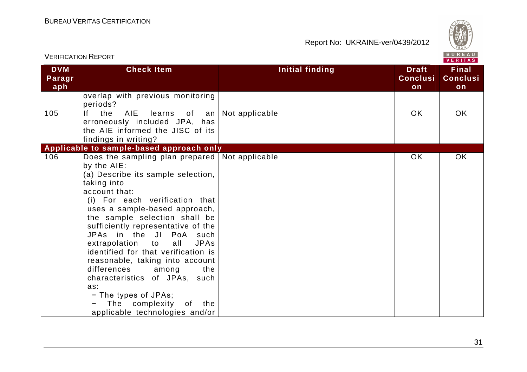

|                             | ו גוש ושהו וישהו וזבו שוגו                                                                                                                                                                                                                                                                                                                                                                                                                                                                                                                                                                              |                        |                                       | VERITAS                               |
|-----------------------------|---------------------------------------------------------------------------------------------------------------------------------------------------------------------------------------------------------------------------------------------------------------------------------------------------------------------------------------------------------------------------------------------------------------------------------------------------------------------------------------------------------------------------------------------------------------------------------------------------------|------------------------|---------------------------------------|---------------------------------------|
| <b>DVM</b><br>Paragr<br>aph | <b>Check Item</b>                                                                                                                                                                                                                                                                                                                                                                                                                                                                                                                                                                                       | <b>Initial finding</b> | <b>Draft</b><br><b>Conclusi</b><br>on | <b>Final</b><br><b>Conclusi</b><br>on |
|                             | overlap with previous monitoring<br>periods?                                                                                                                                                                                                                                                                                                                                                                                                                                                                                                                                                            |                        |                                       |                                       |
| 105                         | Ιf<br>the<br><b>AIE</b><br>learns<br>of<br>an<br>erroneously included JPA, has<br>the AIE informed the JISC of its<br>findings in writing?                                                                                                                                                                                                                                                                                                                                                                                                                                                              | Not applicable         | <b>OK</b>                             | OK                                    |
|                             | Applicable to sample-based approach only                                                                                                                                                                                                                                                                                                                                                                                                                                                                                                                                                                |                        |                                       |                                       |
| 106                         | Does the sampling plan prepared $\vert$ Not applicable<br>by the AIE:<br>(a) Describe its sample selection,<br>taking into<br>account that:<br>(i) For each verification that<br>uses a sample-based approach,<br>the sample selection shall be<br>sufficiently representative of the<br>JPAs in the JI PoA such<br>extrapolation to<br><b>JPAs</b><br>all<br>identified for that verification is<br>reasonable, taking into account<br>differences<br>among<br>the<br>characteristics of JPAs, such<br>as:<br>- The types of JPAs;<br>complexity<br>The<br>the<br>of<br>applicable technologies and/or |                        | OK                                    | OK                                    |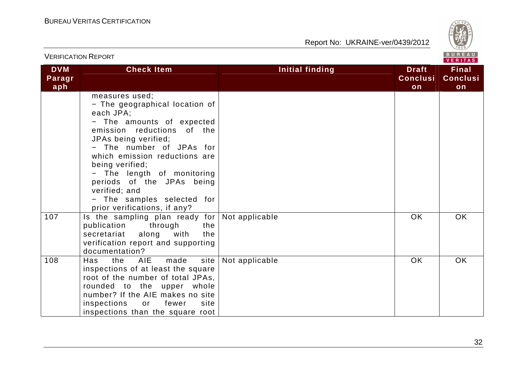

|                             | <b>VERIFICATION REPORT</b>                                                                                                                                                                                                                                                                                                                                                 |                        |                                       | BUREAU<br><b>VERITAS</b>              |
|-----------------------------|----------------------------------------------------------------------------------------------------------------------------------------------------------------------------------------------------------------------------------------------------------------------------------------------------------------------------------------------------------------------------|------------------------|---------------------------------------|---------------------------------------|
| <b>DVM</b><br>Paragr<br>aph | <b>Check Item</b>                                                                                                                                                                                                                                                                                                                                                          | <b>Initial finding</b> | <b>Draft</b><br><b>Conclusi</b><br>on | <b>Final</b><br><b>Conclusi</b><br>on |
|                             | measures used;<br>- The geographical location of<br>each JPA;<br>- The amounts of expected<br>emission reductions of the<br>JPAs being verified;<br>- The number of JPAs for<br>which emission reductions are<br>being verified;<br>- The length of monitoring<br>periods of the JPAs being<br>verified; and<br>- The samples selected for<br>prior verifications, if any? |                        | <b>OK</b>                             |                                       |
| 107                         | Is the sampling plan ready for<br>publication<br>through<br>the<br>along with<br>the<br>secretariat<br>verification report and supporting<br>documentation?                                                                                                                                                                                                                | Not applicable         |                                       | <b>OK</b>                             |
| 108                         | <b>AIE</b><br>made<br>site<br>Has<br>the<br>inspections of at least the square<br>root of the number of total JPAs,<br>rounded to the upper whole<br>number? If the AIE makes no site<br>inspections<br>fewer<br>site<br>or<br>inspections than the square root                                                                                                            | Not applicable         | <b>OK</b>                             | <b>OK</b>                             |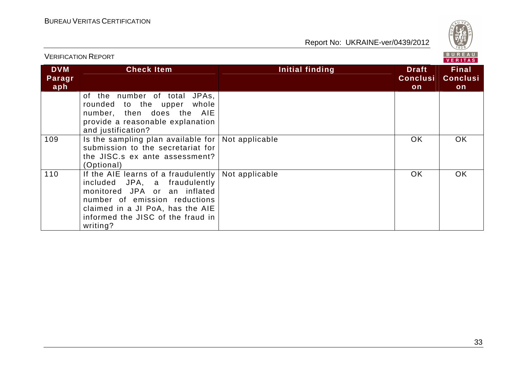

BUREAU<br>VERITAS VERIFICATION REPORT**DVM Check Item Initial finding Check Item Initial finding Theory Final Paragr Conclusi Conclusiaph onon** of the number of total JPAs, rounded to the upper whole number, then does the AIE provide a reasonable explanation and justification? 109 Is the sampling plan available for Not applicable ISBN ISBN ISBN OK ISBN OK submission to the secretariat for the JISC.s ex ante assessment? (Optional) 110 | If the AIE learns of a fraudulently | Not applicable OK | OK included JPA, a fraudulently monitored JPA or an inflated number of emission reductions claimed in a JI PoA, has the AIE informed the JISC of the fraud in writing?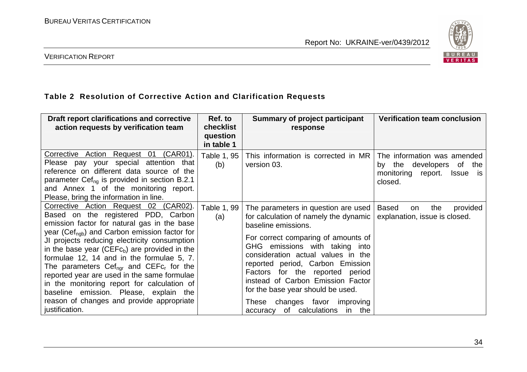

VERIFICATION REPORT

#### **Table 2 Resolution of Corrective Action and Clarification Requests**

| Draft report clarifications and corrective<br>action requests by verification team                                                                                                                                                                                                                                                                                                                                                                                                                                                                                                                   | Ref. to<br>checklist<br>question<br>in table 1 | <b>Summary of project participant</b><br>response                                                                                                                                                                                                                                                                                                                                                                                                | <b>Verification team conclusion</b>                                                                                        |
|------------------------------------------------------------------------------------------------------------------------------------------------------------------------------------------------------------------------------------------------------------------------------------------------------------------------------------------------------------------------------------------------------------------------------------------------------------------------------------------------------------------------------------------------------------------------------------------------------|------------------------------------------------|--------------------------------------------------------------------------------------------------------------------------------------------------------------------------------------------------------------------------------------------------------------------------------------------------------------------------------------------------------------------------------------------------------------------------------------------------|----------------------------------------------------------------------------------------------------------------------------|
| Corrective Action Request 01 (CAR01).<br>Please pay your special attention that<br>reference on different data source of the<br>parameter Cef <sub>ng</sub> is provided in section B.2.1<br>and Annex 1 of the monitoring report.<br>Please, bring the information in line.                                                                                                                                                                                                                                                                                                                          | Table 1, 95<br>(b)                             | This information is corrected in MR<br>version 03.                                                                                                                                                                                                                                                                                                                                                                                               | The information was amended<br>developers<br>by the<br>of<br>the<br>monitoring<br>report.<br><b>Issue</b><br>is<br>closed. |
| Corrective Action Request 02 (CAR02).<br>Based on the registered PDD, Carbon<br>emission factor for natural gas in the base<br>year ( $Cef_{\text{nab}}$ ) and Carbon emission factor for<br>JI projects reducing electricity consumption<br>in the base year (CEF $cb$ ) are provided in the<br>formulae 12, 14 and in the formulae 5, 7.<br>The parameters $Cef_{nqr}$ and $CEFc_r$ for the<br>reported year are used in the same formulae<br>in the monitoring report for calculation of<br>baseline emission. Please, explain the<br>reason of changes and provide appropriate<br>justification. | Table 1, 99<br>(a)                             | The parameters in question are used<br>for calculation of namely the dynamic<br>baseline emissions.<br>For correct comparing of amounts of<br>GHG emissions with taking into<br>consideration actual values in the<br>reported period, Carbon Emission<br>Factors for the reported period<br>instead of Carbon Emission Factor<br>for the base year should be used.<br>changes favor<br>improving<br>These<br>of calculations in the<br>accuracy | <b>Based</b><br>the<br>provided<br>on<br>explanation, issue is closed.                                                     |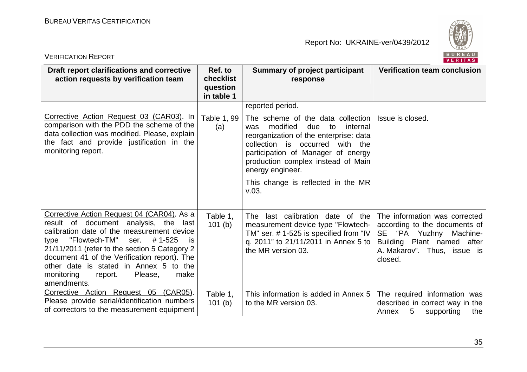

| BUREAU<br><b>VERIFICATION REPORT</b><br><b>VERITAS</b>                                                                                                                                                                                                                                                                                                                                             |                                                |                                                                                                                                                                                                                                                                                                              |                                                                                                                                                                     |  |
|----------------------------------------------------------------------------------------------------------------------------------------------------------------------------------------------------------------------------------------------------------------------------------------------------------------------------------------------------------------------------------------------------|------------------------------------------------|--------------------------------------------------------------------------------------------------------------------------------------------------------------------------------------------------------------------------------------------------------------------------------------------------------------|---------------------------------------------------------------------------------------------------------------------------------------------------------------------|--|
| Draft report clarifications and corrective<br>action requests by verification team                                                                                                                                                                                                                                                                                                                 | Ref. to<br>checklist<br>question<br>in table 1 | <b>Summary of project participant</b><br>response                                                                                                                                                                                                                                                            | <b>Verification team conclusion</b>                                                                                                                                 |  |
|                                                                                                                                                                                                                                                                                                                                                                                                    |                                                | reported period.                                                                                                                                                                                                                                                                                             |                                                                                                                                                                     |  |
| Corrective Action Request 03 (CAR03). In<br>comparison with the PDD the scheme of the<br>data collection was modified. Please, explain<br>the fact and provide justification in the<br>monitoring report.                                                                                                                                                                                          | Table 1, 99<br>(a)                             | The scheme of the data collection<br>modified<br>due<br>internal<br>to<br>was<br>reorganization of the enterprise: data<br>collection is occurred<br>with the<br>participation of Manager of energy<br>production complex instead of Main<br>energy engineer.<br>This change is reflected in the MR<br>V.03. | Issue is closed.                                                                                                                                                    |  |
|                                                                                                                                                                                                                                                                                                                                                                                                    |                                                |                                                                                                                                                                                                                                                                                                              |                                                                                                                                                                     |  |
| Corrective Action Request 04 (CAR04). As a<br>result of document analysis, the<br>last<br>calibration date of the measurement device<br>"Flowtech-TM"<br>#1-525<br>ser.<br>type<br><b>is</b><br>21/11/2011 (refer to the section 5 Category 2<br>document 41 of the Verification report). The<br>other date is stated in Annex 5 to the<br>monitoring<br>Please,<br>make<br>report.<br>amendments. | Table 1,<br>101(b)                             | The last calibration date of the<br>measurement device type "Flowtech-<br>TM" ser. # 1-525 is specified from "IV<br>q. 2011" to 21/11/2011 in Annex 5 to<br>the MR version 03.                                                                                                                               | The information was corrected<br>according to the documents of<br>SE "PA Yuzhny<br>Machine-<br>Building Plant named after<br>A. Makarov". Thus, issue is<br>closed. |  |
| Corrective Action Request 05<br>(CAR05).<br>Please provide serial/identification numbers<br>of correctors to the measurement equipment                                                                                                                                                                                                                                                             | Table 1,<br>101(b)                             | This information is added in Annex 5<br>to the MR version 03.                                                                                                                                                                                                                                                | The required information was<br>described in correct way in the<br>5<br>supporting<br>Annex<br>the                                                                  |  |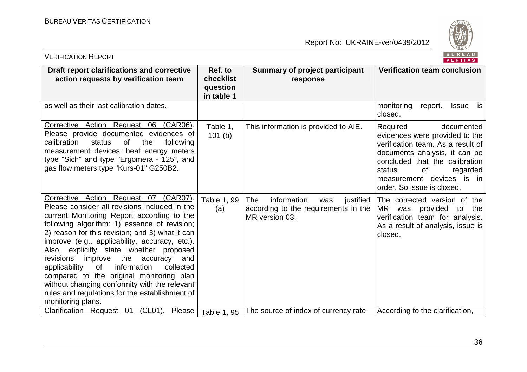

| BUREAU<br><b>VERIFICATION REPORT</b><br><b>VERITAS</b>                                                                                                                                                                                                                                                                                                                                                                                                                                                                                                                                                        |                                                |                                                                                                  |                                                                                                                                                                                                                                                         |  |
|---------------------------------------------------------------------------------------------------------------------------------------------------------------------------------------------------------------------------------------------------------------------------------------------------------------------------------------------------------------------------------------------------------------------------------------------------------------------------------------------------------------------------------------------------------------------------------------------------------------|------------------------------------------------|--------------------------------------------------------------------------------------------------|---------------------------------------------------------------------------------------------------------------------------------------------------------------------------------------------------------------------------------------------------------|--|
| Draft report clarifications and corrective<br>action requests by verification team                                                                                                                                                                                                                                                                                                                                                                                                                                                                                                                            | Ref. to<br>checklist<br>question<br>in table 1 | <b>Summary of project participant</b><br>response                                                | <b>Verification team conclusion</b>                                                                                                                                                                                                                     |  |
| as well as their last calibration dates.                                                                                                                                                                                                                                                                                                                                                                                                                                                                                                                                                                      |                                                |                                                                                                  | monitoring<br>report.<br><b>Issue</b><br>is<br>closed.                                                                                                                                                                                                  |  |
| Corrective Action Request 06<br>(CAR06).<br>Please provide documented evidences of<br>calibration<br>status<br>of<br>the<br>following<br>measurement devices: heat energy meters<br>type "Sich" and type "Ergomera - 125", and<br>gas flow meters type "Kurs-01" G250B2.                                                                                                                                                                                                                                                                                                                                      | Table 1,<br>101(b)                             | This information is provided to AIE.                                                             | documented<br>Required<br>evidences were provided to the<br>verification team. As a result of<br>documents analysis, it can be<br>concluded that the calibration<br>0f<br>status<br>regarded<br>measurement devices is in<br>order. So issue is closed. |  |
| Corrective Action Request 07 (CAR07).<br>Please consider all revisions included in the<br>current Monitoring Report according to the<br>following algorithm: 1) essence of revision;<br>2) reason for this revision; and 3) what it can<br>improve (e.g., applicability, accuracy, etc.).<br>Also, explicitly state whether proposed<br>improve<br>revisions<br>the<br>accuracy<br>and<br>information<br>collected<br>applicability<br>0f<br>compared to the original monitoring plan<br>without changing conformity with the relevant<br>rules and regulations for the establishment of<br>monitoring plans. | Table 1, 99<br>(a)                             | information<br>The<br>justified<br>was<br>according to the requirements in the<br>MR version 03. | The corrected version of the<br>MR.<br>provided<br>to<br>the<br>was<br>verification team for analysis.<br>As a result of analysis, issue is<br>closed.                                                                                                  |  |
| <b>Clarification Request 01</b><br>$(CL01)$ .<br>Please                                                                                                                                                                                                                                                                                                                                                                                                                                                                                                                                                       | Table 1, 95                                    | The source of index of currency rate                                                             | According to the clarification,                                                                                                                                                                                                                         |  |